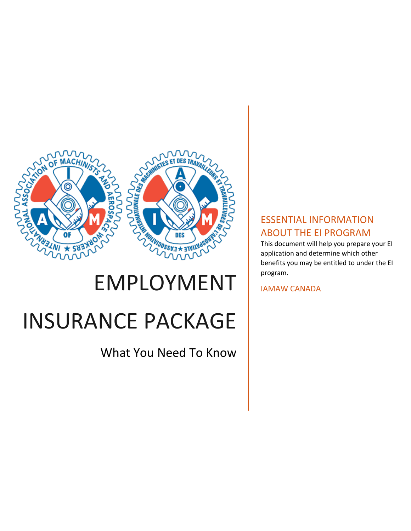

# EMPLOYMENT INSURANCE PACKAGE

What You Need To Know

# ESSENTIAL INFORMATION ABOUT THE EI PROGRAM

This document will help you prepare your EI application and determine which other benefits you may be entitled to under the EI program.

IAMAW CANADA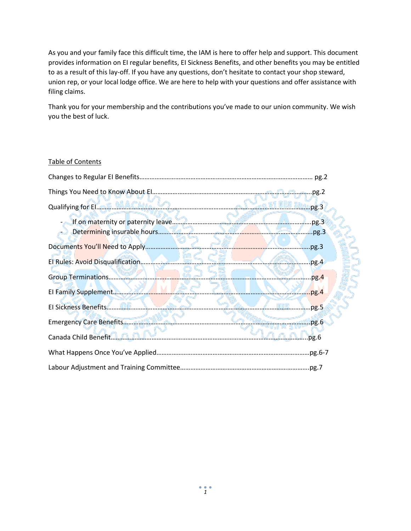As you and your family face this difficult time, the IAM is here to offer help and support. This document provides information on EI regular benefits, EI Sickness Benefits, and other benefits you may be entitled to as a result of this lay-off. If you have any questions, don't hesitate to contact your shop steward, union rep, or your local lodge office. We are here to help with your questions and offer assistance with filing claims.

Thank you for your membership and the contributions you've made to our union community. We wish you the best of luck.

#### Table of Contents

| Qualifying for El. A.E. MACHIA  M. A.C. Alexander Alexander And The S. T. Man.pg.3 |               |
|------------------------------------------------------------------------------------|---------------|
|                                                                                    |               |
|                                                                                    | .py.3         |
|                                                                                    | pg.4          |
|                                                                                    | $\cdot$ .pg.4 |
| El Family Supplement                                                               |               |
| El Sickness Benefits                                                               | $-pg.5$       |
|                                                                                    |               |
| Canada Child Benefit <b>A.A.A.</b>                                                 | pg.6          |
|                                                                                    |               |
|                                                                                    |               |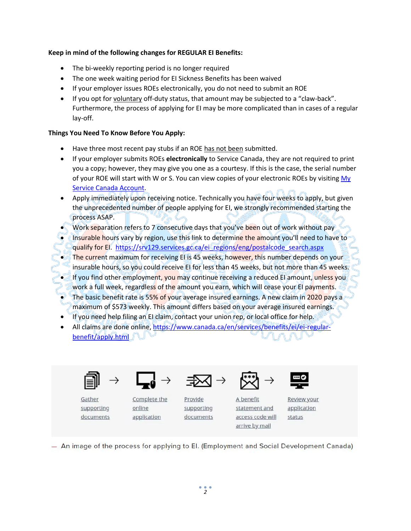### **Keep in mind of the following changes for REGULAR EI Benefits:**

- The bi-weekly reporting period is no longer required
- The one week waiting period for EI Sickness Benefits has been waived
- If your employer issues ROEs electronically, you do not need to submit an ROE
- If you opt for voluntary off-duty status, that amount may be subjected to a "claw-back". Furthermore, the process of applying for EI may be more complicated than in cases of a regular lay-off.

#### **Things You Need To Know Before You Apply:**

- Have three most recent pay stubs if an ROE has not been submitted.
- If your employer submits ROEs **electronically** to Service Canada, they are not required to print you a copy; however, they may give you one as a courtesy. If this is the case, the serial number of your ROE will start with W or S. You can view copies of your electronic ROEs by visiting My [Service Canada Account.](http://www.servicecanada.gc.ca/eng/online/mysca.shtml)
- Apply immediately upon receiving notice. Technically you have four weeks to apply, but given the unprecedented number of people applying for EI, we strongly recommended starting the process ASAP.
- Work separation refers to 7 consecutive days that you've been out of work without pay
- Insurable hours vary by region, use this link to determine the amount you'll need to have to qualify for EI. [https://srv129.services.gc.ca/ei\\_regions/eng/postalcode\\_search.aspx](https://srv129.services.gc.ca/ei_regions/eng/postalcode_search.aspx)
- The current maximum for receiving EI is 45 weeks, however, this number depends on your insurable hours, so you could receive EI for less than 45 weeks, but not more than 45 weeks.
- If you find other employment, you may continue receiving a reduced EI amount, unless you work a full week, regardless of the amount you earn, which will cease your EI payments.
- The basic benefit rate is 55% of your average insured earnings. A new claim in 2020 pays a maximum of \$573 weekly. This amount differs based on your average insured earnings.
- If you need help filing an EI claim, contact your union rep, or local office for help.
- All claims are done online, [https://www.canada.ca/en/services/benefits/ei/ei-regular](https://www.canada.ca/en/services/benefits/ei/ei-regular-benefit/apply.html)[benefit/apply.html](https://www.canada.ca/en/services/benefits/ei/ei-regular-benefit/apply.html)



Gather

supporting

documents





Complete the

application

online



Provide supporting documents



A benefit statement and access code will arrive by mail

Review your application status

- An image of the process for applying to El. (Employment and Social Development Canada)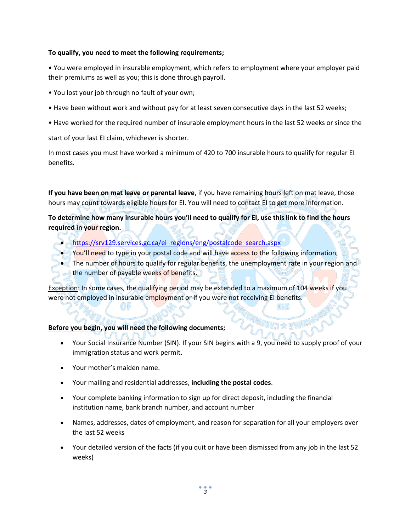#### **To qualify, you need to meet the following requirements;**

• You were employed in insurable employment, which refers to employment where your employer paid their premiums as well as you; this is done through payroll.

- You lost your job through no fault of your own;
- Have been without work and without pay for at least seven consecutive days in the last 52 weeks;
- Have worked for the required number of insurable employment hours in the last 52 weeks or since the

start of your last EI claim, whichever is shorter.

In most cases you must have worked a minimum of 420 to 700 insurable hours to qualify for regular EI benefits.

**If you have been on mat leave or parental leave**, if you have remaining hours left on mat leave, those hours may count towards eligible hours for EI. You will need to contact EI to get more information.

**To determine how many insurable hours you'll need to qualify for EI, use this link to find the hours required in your region.** 

- [https://srv129.services.gc.ca/ei\\_regions/eng/postalcode\\_search.aspx](https://srv129.services.gc.ca/ei_regions/eng/postalcode_search.aspx)
- You'll need to type in your postal code and will have access to the following information,
- The number of hours to qualify for regular benefits, the unemployment rate in your region and the number of payable weeks of benefits.

Exception: In some cases, the qualifying period may be extended to a maximum of 104 weeks if you were not employed in insurable employment or if you were not receiving EI benefits.

# **Before you begin, you will need the following documents;**

- Your Social Insurance Number (SIN). If your SIN begins with a 9, you need to supply proof of your immigration status and work permit.
- Your mother's maiden name.
- Your mailing and residential addresses, **including the postal codes**.
- Your complete banking information to sign up for direct deposit, including the financial institution name, bank branch number, and account number
- Names, addresses, dates of employment, and reason for separation for all your employers over the last 52 weeks
- Your detailed version of the facts (if you quit or have been dismissed from any job in the last 52 weeks)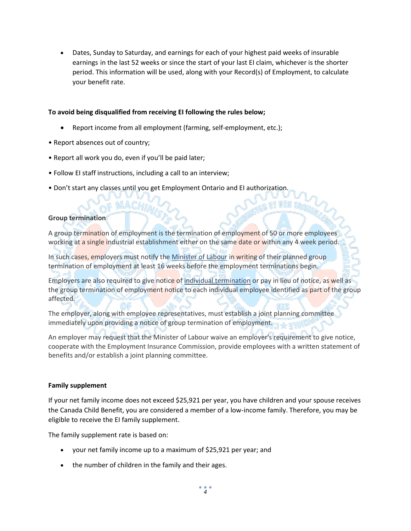Dates, Sunday to Saturday, and earnings for each of your highest paid weeks of insurable earnings in the last 52 weeks or since the start of your last EI claim, whichever is the shorter period. This information will be used, along with your Record(s) of Employment, to calculate your benefit rate.

#### **To avoid being disqualified from receiving EI following the rules below;**

- Report income from all employment (farming, self-employment, etc.);
- Report absences out of country;
- Report all work you do, even if you'll be paid later;

 $MACH$ 

- Follow EI staff instructions, including a call to an interview;
- Don't start any classes until you get Employment Ontario and EI authorization.

### **Group termination**

A group termination of employment is the termination of employment of 50 or more employees working at a single industrial establishment either on the same date or within any 4 week period.

In such cases, employers must notify the [Minister of Labour](http://www.labour.gc.ca/eng/contact/index.shtml) in writing of their planned group termination of employment at least 16 weeks before the employment terminations begin.

Employers are also required to give notice o[f individual termination](https://www.canada.ca/en/employment-social-development/programs/employment-standards/termination.html?#nt) or pay in lieu of notice, as well as the group termination of employment notice to each individual employee identified as part of the group affected.

The employer, along with employee representatives, must establish a joint planning committee immediately upon providing a notice of group termination of employment.

An employer may request that the Minister of Labour waive an employer's requirement to give notice, cooperate with the Employment Insurance Commission, provide employees with a written statement of benefits and/or establish a joint planning committee.

#### **Family supplement**

If your net family income does not exceed \$25,921 per year, you have children and your spouse receives the Canada Child Benefit, you are considered a member of a low-income family. Therefore, you may be eligible to receive the EI family supplement.

The family supplement rate is based on:

- your net family income up to a maximum of \$25,921 per year; and
- the number of children in the family and their ages.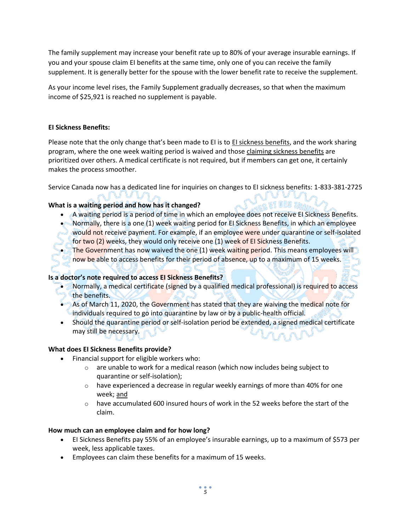The family supplement may increase your benefit rate up to 80% of your average insurable earnings. If you and your spouse claim EI benefits at the same time, only one of you can receive the family supplement. It is generally better for the spouse with the lower benefit rate to receive the supplement.

As your income level rises, the Family Supplement gradually decreases, so that when the maximum income of \$25,921 is reached no supplement is payable.

### **EI Sickness Benefits:**

Please note that the only change that's been made to EI is to EI sickness benefits, and the work sharing program, where the one week waiting period is waived and those claiming sickness benefits are prioritized over others. A medical certificate is not required, but if members can get one, it certainly makes the process smoother.

Service Canada now has a dedicated line for inquiries on changes to EI sickness benefits: 1-833-381-2725

# **What is a waiting period and how has it changed?**

A waiting period is a period of time in which an employee does not receive EI Sickness Benefits.

 $\mathcal{L}_{\text{CS}}$  et des trad

- Normally, there is a one (1) week waiting period for EI Sickness Benefits, in which an employee would not receive payment. For example, if an employee were under quarantine or self-isolated for two (2) weeks, they would only receive one (1) week of EI Sickness Benefits.
- The Government has now waived the one (1) week waiting period. This means employees will now be able to access benefits for their period of absence, up to a maximum of 15 weeks.

# **Is a doctor's note required to access EI Sickness Benefits?**

- Normally, a medical certificate (signed by a qualified medical professional) is required to access the benefits.
- As of March 11, 2020, the Government has stated that they are waiving the medical note for individuals required to go into quarantine by law or by a public-health official.
- Should the quarantine period or self-isolation period be extended, a signed medical certificate may still be necessary.

#### **What does EI Sickness Benefits provide?**

- Financial support for eligible workers who:
	- o are unable to work for a medical reason (which now includes being subject to quarantine or self-isolation);
	- $\circ$  have experienced a decrease in regular weekly earnings of more than 40% for one week; and
	- $\circ$  have accumulated 600 insured hours of work in the 52 weeks before the start of the claim.

#### **How much can an employee claim and for how long?**

- EI Sickness Benefits pay 55% of an employee's insurable earnings, up to a maximum of \$573 per week, less applicable taxes.
- Employees can claim these benefits for a maximum of 15 weeks.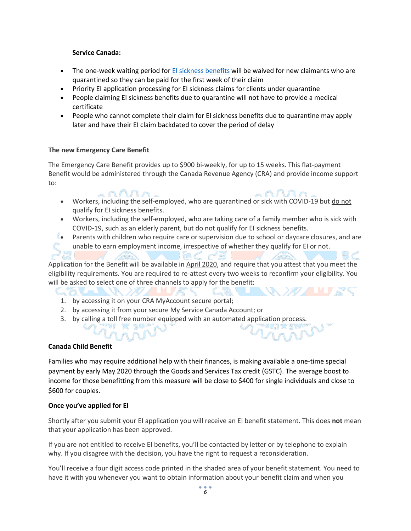#### **Service Canada:**

- The one-week waiting period for [EI sickness benefits](https://www.canada.ca/en/services/benefits/ei/ei-sickness.html) will be waived for new claimants who are quarantined so they can be paid for the first week of their claim
- Priority EI application processing for EI sickness claims for clients under quarantine
- People claiming EI sickness benefits due to quarantine will not have to provide a medical certificate
- People who cannot complete their claim for EI sickness benefits due to quarantine may apply later and have their EI claim backdated to cover the period of delay

#### **The new Emergency Care Benefit**

The Emergency Care Benefit provides up to \$900 bi-weekly, for up to 15 weeks. This flat-payment Benefit would be administered through the Canada Revenue Agency (CRA) and provide income support to:

- $\land \land \land \land \land$ . nnna • Workers, including the self-employed, who are quarantined or sick with COVID-19 but do not qualify for EI sickness benefits.
- Workers, including the self-employed, who are taking care of a family member who is sick with COVID-19, such as an elderly parent, but do not qualify for EI sickness benefits.
- Parents with children who require care or supervision due to school or daycare closures, and are unable to earn employment income, irrespective of whether they qualify for EI or not.

Application for the Benefit will be available in April 2020, and require that you attest that you meet the eligibility requirements. You are required to re-attest every two weeks to reconfirm your eligibility. You will be asked to select one of three channels to apply for the benefit:

1. by accessing it on your CRA MyAccount secure portal;

יסר אי וי

- 2. by accessing it from your secure My Service Canada Account; or
- 3. by calling a toll free number equipped with an automated application process.

#### **Canada Child Benefit**

Families who may require additional help with their finances, is making available a one-time special payment by early May 2020 through the Goods and Services Tax credit (GSTC). The average boost to income for those benefitting from this measure will be close to \$400 for single individuals and close to \$600 for couples.

#### **Once you've applied for EI**

Shortly after you submit your EI application you will receive an EI benefit statement. This does **not** mean that your application has been approved.

If you are not entitled to receive EI benefits, you'll be contacted by letter or by telephone to explain why. If you disagree with the decision, you have the right to request a reconsideration.

You'll receive a four digit access code printed in the shaded area of your benefit statement. You need to have it with you whenever you want to obtain information about your benefit claim and when you